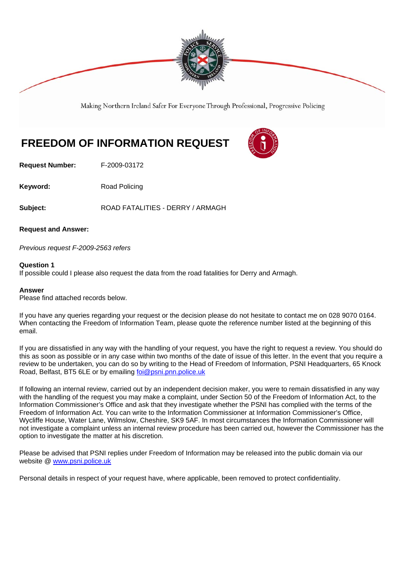

Making Northern Ireland Safer For Everyone Through Professional, Progressive Policing

## **FREEDOM OF INFORMATION REQUEST**

**Request Number:** F-2009-03172

**Keyword:** Road Policing

Subject: ROAD FATALITIES - DERRY / ARMAGH

**Request and Answer:** 

*Previous request F-2009-2563 refers* 

## **Question 1**

If possible could I please also request the data from the road fatalities for Derry and Armagh.

## **Answer**

Please find attached records below.

If you have any queries regarding your request or the decision please do not hesitate to contact me on 028 9070 0164. When contacting the Freedom of Information Team, please quote the reference number listed at the beginning of this email.

If you are dissatisfied in any way with the handling of your request, you have the right to request a review. You should do this as soon as possible or in any case within two months of the date of issue of this letter. In the event that you require a review to be undertaken, you can do so by writing to the Head of Freedom of Information, PSNI Headquarters, 65 Knock Road, Belfast, BT5 6LE or by emailing foi@psni.pnn.police.uk

If following an internal review, carried out by an independent decision maker, you were to remain dissatisfied in any way with the handling of the request you may make a complaint, under Section 50 of the Freedom of Information Act, to the Information Commissioner's Office and ask that they investigate whether the PSNI has complied with the terms of the Freedom of Information Act. You can write to the Information Commissioner at Information Commissioner's Office, Wycliffe House, Water Lane, Wilmslow, Cheshire, SK9 5AF. In most circumstances the Information Commissioner will not investigate a complaint unless an internal review procedure has been carried out, however the Commissioner has the option to investigate the matter at his discretion.

Please be advised that PSNI replies under Freedom of Information may be released into the public domain via our website @ www.psni.police.uk

Personal details in respect of your request have, where applicable, been removed to protect confidentiality.